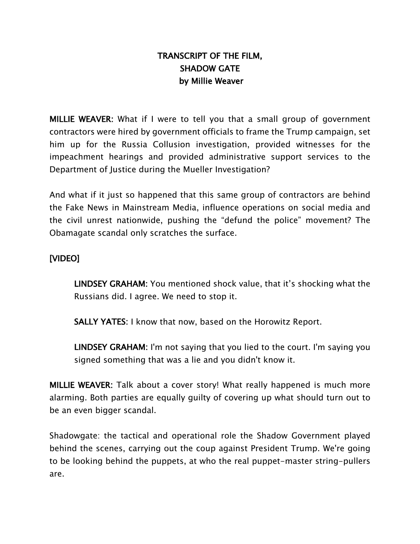# TRANSCRIPT OF THE FILM, SHADOW GATE by Millie Weaver

MILLIE WEAVER: What if I were to tell you that a small group of government contractors were hired by government officials to frame the Trump campaign, set him up for the Russia Collusion investigation, provided witnesses for the impeachment hearings and provided administrative support services to the Department of Justice during the Mueller Investigation?

And what if it just so happened that this same group of contractors are behind the Fake News in Mainstream Media, influence operations on social media and the civil unrest nationwide, pushing the "defund the police" movement? The Obamagate scandal only scratches the surface.

## [VIDEO]

LINDSEY GRAHAM: You mentioned shock value, that it's shocking what the Russians did. I agree. We need to stop it.

SALLY YATES: I know that now, based on the Horowitz Report.

LINDSEY GRAHAM: I'm not saying that you lied to the court. I'm saying you signed something that was a lie and you didn't know it.

MILLIE WEAVER: Talk about a cover story! What really happened is much more alarming. Both parties are equally guilty of covering up what should turn out to be an even bigger scandal.

Shadowgate: the tactical and operational role the Shadow Government played behind the scenes, carrying out the coup against President Trump. We're going to be looking behind the puppets, at who the real puppet-master string-pullers are.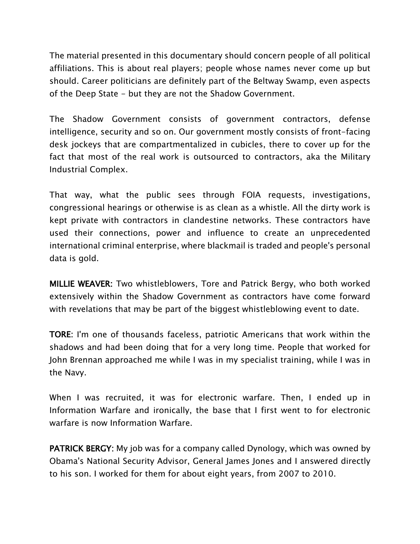The material presented in this documentary should concern people of all political affiliations. This is about real players; people whose names never come up but should. Career politicians are definitely part of the Beltway Swamp, even aspects of the Deep State - but they are not the Shadow Government.

The Shadow Government consists of government contractors, defense intelligence, security and so on. Our government mostly consists of front-facing desk jockeys that are compartmentalized in cubicles, there to cover up for the fact that most of the real work is outsourced to contractors, aka the Military Industrial Complex.

That way, what the public sees through FOIA requests, investigations, congressional hearings or otherwise is as clean as a whistle. All the dirty work is kept private with contractors in clandestine networks. These contractors have used their connections, power and influence to create an unprecedented international criminal enterprise, where blackmail is traded and people's personal data is gold.

MILLIE WEAVER: Two whistleblowers, Tore and Patrick Bergy, who both worked extensively within the Shadow Government as contractors have come forward with revelations that may be part of the biggest whistleblowing event to date.

TORE: I'm one of thousands faceless, patriotic Americans that work within the shadows and had been doing that for a very long time. People that worked for John Brennan approached me while I was in my specialist training, while I was in the Navy.

When I was recruited, it was for electronic warfare. Then, I ended up in Information Warfare and ironically, the base that I first went to for electronic warfare is now Information Warfare.

PATRICK BERGY: My job was for a company called Dynology, which was owned by Obama's National Security Advisor, General James Jones and I answered directly to his son. I worked for them for about eight years, from 2007 to 2010.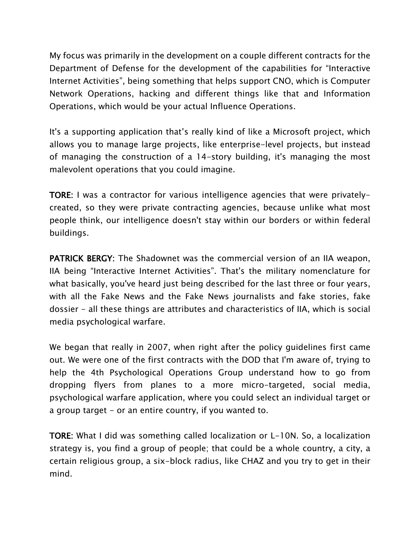My focus was primarily in the development on a couple different contracts for the Department of Defense for the development of the capabilities for "Interactive Internet Activities", being something that helps support CNO, which is Computer Network Operations, hacking and different things like that and Information Operations, which would be your actual Influence Operations.

It's a supporting application that's really kind of like a Microsoft project, which allows you to manage large projects, like enterprise-level projects, but instead of managing the construction of a 14-story building, it's managing the most malevolent operations that you could imagine.

TORE: I was a contractor for various intelligence agencies that were privatelycreated, so they were private contracting agencies, because unlike what most people think, our intelligence doesn't stay within our borders or within federal buildings.

PATRICK BERGY: The Shadownet was the commercial version of an IIA weapon, IIA being "Interactive Internet Activities". That's the military nomenclature for what basically, you've heard just being described for the last three or four years, with all the Fake News and the Fake News journalists and fake stories, fake dossier - all these things are attributes and characteristics of IIA, which is social media psychological warfare.

We began that really in 2007, when right after the policy guidelines first came out. We were one of the first contracts with the DOD that I'm aware of, trying to help the 4th Psychological Operations Group understand how to go from dropping flyers from planes to a more micro-targeted, social media, psychological warfare application, where you could select an individual target or a group target - or an entire country, if you wanted to.

TORE: What I did was something called localization or L-10N. So, a localization strategy is, you find a group of people; that could be a whole country, a city, a certain religious group, a six-block radius, like CHAZ and you try to get in their mind.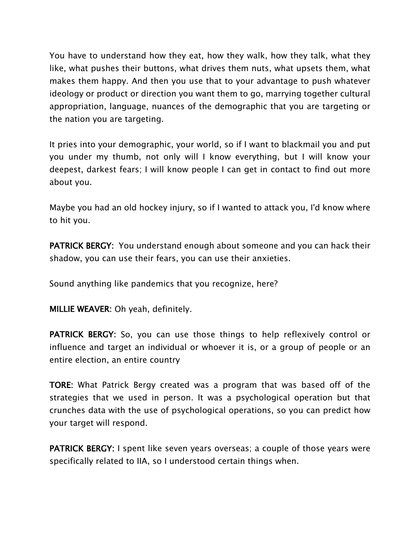You have to understand how they eat, how they walk, how they talk, what they like, what pushes their buttons, what drives them nuts, what upsets them, what makes them happy. And then you use that to your advantage to push whatever ideology or product or direction you want them to go, marrying together cultural appropriation, language, nuances of the demographic that you are targeting or the nation you are targeting.

It pries into your demographic, your world, so if I want to blackmail you and put you under my thumb, not only will I know everything, but I will know your deepest, darkest fears; I will know people I can get in contact to find out more about you.

Maybe you had an old hockey injury, so if I wanted to attack you, I'd know where to hit you.

PATRICK BERGY: You understand enough about someone and you can hack their shadow, you can use their fears, you can use their anxieties.

Sound anything like pandemics that you recognize, here?

MILLIE WEAVER: Oh yeah, definitely.

PATRICK BERGY: So, you can use those things to help reflexively control or influence and target an individual or whoever it is, or a group of people or an entire election, an entire country

TORE: What Patrick Bergy created was a program that was based off of the strategies that we used in person. It was a psychological operation but that crunches data with the use of psychological operations, so you can predict how your target will respond.

PATRICK BERGY: I spent like seven years overseas; a couple of those years were specifically related to IIA, so I understood certain things when.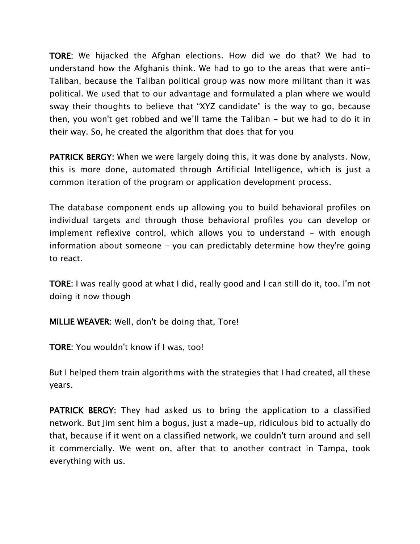TORE: We hijacked the Afghan elections. How did we do that? We had to understand how the Afghanis think. We had to go to the areas that were anti-Taliban, because the Taliban political group was now more militant than it was political. We used that to our advantage and formulated a plan where we would sway their thoughts to believe that "XYZ candidate" is the way to go, because then, you won't get robbed and we'll tame the Taliban - but we had to do it in their way. So, he created the algorithm that does that for you

PATRICK BERGY: When we were largely doing this, it was done by analysts. Now, this is more done, automated through Artificial Intelligence, which is just a common iteration of the program or application development process.

The database component ends up allowing you to build behavioral profiles on individual targets and through those behavioral profiles you can develop or implement reflexive control, which allows you to understand - with enough information about someone - you can predictably determine how they're going to react.

TORE: I was really good at what I did, really good and I can still do it, too. I'm not doing it now though

MILLIE WEAVER: Well, don't be doing that, Tore!

TORE: You wouldn't know if I was, too!

But I helped them train algorithms with the strategies that I had created, all these years.

PATRICK BERGY: They had asked us to bring the application to a classified network. But Jim sent him a bogus, just a made-up, ridiculous bid to actually do that, because if it went on a classified network, we couldn't turn around and sell it commercially. We went on, after that to another contract in Tampa, took everything with us.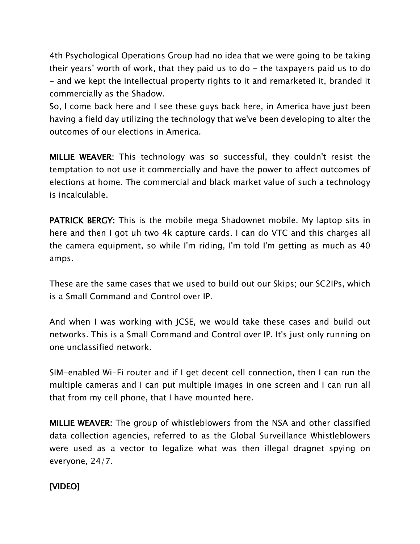4th Psychological Operations Group had no idea that we were going to be taking their years' worth of work, that they paid us to do  $-$  the taxpayers paid us to do - and we kept the intellectual property rights to it and remarketed it, branded it commercially as the Shadow.

So, I come back here and I see these guys back here, in America have just been having a field day utilizing the technology that we've been developing to alter the outcomes of our elections in America.

MILLIE WEAVER: This technology was so successful, they couldn't resist the temptation to not use it commercially and have the power to affect outcomes of elections at home. The commercial and black market value of such a technology is incalculable.

PATRICK BERGY: This is the mobile mega Shadownet mobile. My laptop sits in here and then I got uh two 4k capture cards. I can do VTC and this charges all the camera equipment, so while I'm riding, I'm told I'm getting as much as 40 amps.

These are the same cases that we used to build out our Skips; our SC2IPs, which is a Small Command and Control over IP.

And when I was working with JCSE, we would take these cases and build out networks. This is a Small Command and Control over IP. It's just only running on one unclassified network.

SIM-enabled Wi-Fi router and if I get decent cell connection, then I can run the multiple cameras and I can put multiple images in one screen and I can run all that from my cell phone, that I have mounted here.

MILLIE WEAVER: The group of whistleblowers from the NSA and other classified data collection agencies, referred to as the Global Surveillance Whistleblowers were used as a vector to legalize what was then illegal dragnet spying on everyone, 24/7.

### [VIDEO]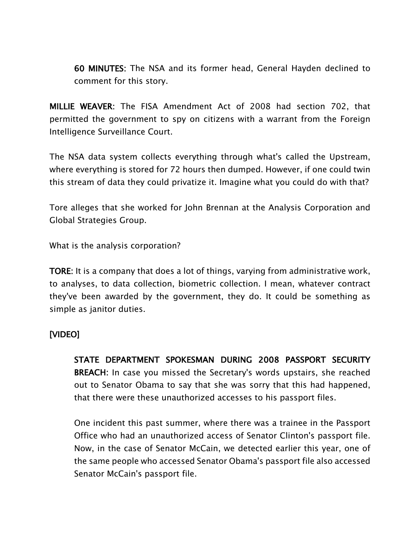60 MINUTES: The NSA and its former head, General Hayden declined to comment for this story.

MILLIE WEAVER: The FISA Amendment Act of 2008 had section 702, that permitted the government to spy on citizens with a warrant from the Foreign Intelligence Surveillance Court.

The NSA data system collects everything through what's called the Upstream, where everything is stored for 72 hours then dumped. However, if one could twin this stream of data they could privatize it. Imagine what you could do with that?

Tore alleges that she worked for John Brennan at the Analysis Corporation and Global Strategies Group.

What is the analysis corporation?

TORE: It is a company that does a lot of things, varying from administrative work, to analyses, to data collection, biometric collection. I mean, whatever contract they've been awarded by the government, they do. It could be something as simple as janitor duties.

#### [VIDEO]

STATE DEPARTMENT SPOKESMAN DURING 2008 PASSPORT SECURITY BREACH: In case you missed the Secretary's words upstairs, she reached out to Senator Obama to say that she was sorry that this had happened, that there were these unauthorized accesses to his passport files.

One incident this past summer, where there was a trainee in the Passport Office who had an unauthorized access of Senator Clinton's passport file. Now, in the case of Senator McCain, we detected earlier this year, one of the same people who accessed Senator Obama's passport file also accessed Senator McCain's passport file.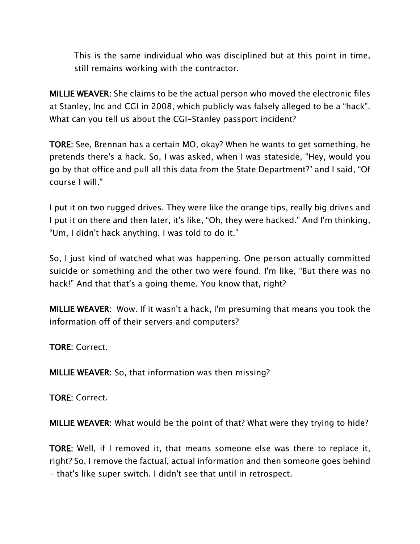This is the same individual who was disciplined but at this point in time, still remains working with the contractor.

MILLIE WEAVER: She claims to be the actual person who moved the electronic files at Stanley, Inc and CGI in 2008, which publicly was falsely alleged to be a "hack". What can you tell us about the CGI-Stanley passport incident?

TORE: See, Brennan has a certain MO, okay? When he wants to get something, he pretends there's a hack. So, I was asked, when I was stateside, "Hey, would you go by that office and pull all this data from the State Department?" and I said, "Of course I will."

I put it on two rugged drives. They were like the orange tips, really big drives and I put it on there and then later, it's like, "Oh, they were hacked." And I'm thinking, "Um, I didn't hack anything. I was told to do it."

So, I just kind of watched what was happening. One person actually committed suicide or something and the other two were found. I'm like, "But there was no hack!" And that that's a going theme. You know that, right?

MILLIE WEAVER: Wow. If it wasn't a hack, I'm presuming that means you took the information off of their servers and computers?

TORE: Correct.

MILLIE WEAVER: So, that information was then missing?

TORE: Correct.

MILLIE WEAVER: What would be the point of that? What were they trying to hide?

TORE: Well, if I removed it, that means someone else was there to replace it, right? So, I remove the factual, actual information and then someone goes behind - that's like super switch. I didn't see that until in retrospect.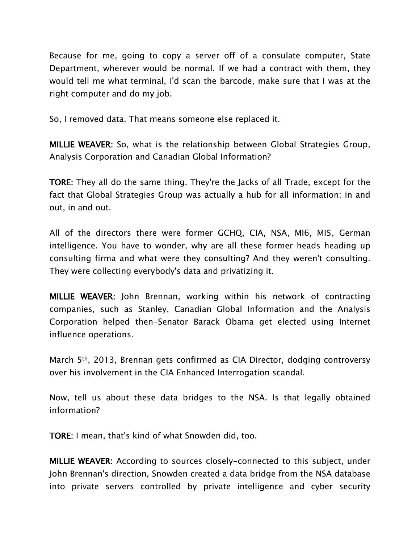Because for me, going to copy a server off of a consulate computer, State Department, wherever would be normal. If we had a contract with them, they would tell me what terminal, I'd scan the barcode, make sure that I was at the right computer and do my job.

So, I removed data. That means someone else replaced it.

MILLIE WEAVER: So, what is the relationship between Global Strategies Group, Analysis Corporation and Canadian Global Information?

TORE: They all do the same thing. They're the Jacks of all Trade, except for the fact that Global Strategies Group was actually a hub for all information; in and out, in and out.

All of the directors there were former GCHQ, CIA, NSA, MI6, MI5, German intelligence. You have to wonder, why are all these former heads heading up consulting firma and what were they consulting? And they weren't consulting. They were collecting everybody's data and privatizing it.

MILLIE WEAVER: John Brennan, working within his network of contracting companies, such as Stanley, Canadian Global Information and the Analysis Corporation helped then-Senator Barack Obama get elected using Internet influence operations.

March 5th, 2013, Brennan gets confirmed as CIA Director, dodging controversy over his involvement in the CIA Enhanced Interrogation scandal.

Now, tell us about these data bridges to the NSA. Is that legally obtained information?

TORE: I mean, that's kind of what Snowden did, too.

MILLIE WEAVER: According to sources closely-connected to this subject, under John Brennan's direction, Snowden created a data bridge from the NSA database into private servers controlled by private intelligence and cyber security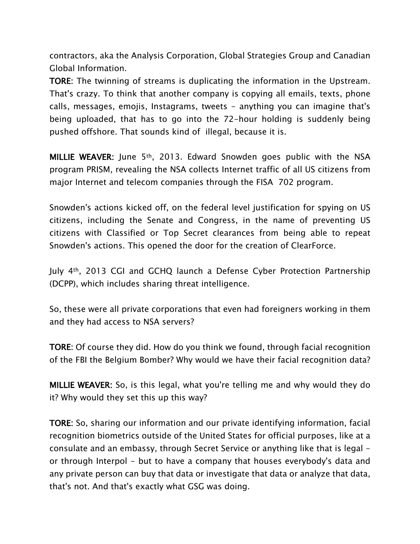contractors, aka the Analysis Corporation, Global Strategies Group and Canadian Global Information.

TORE: The twinning of streams is duplicating the information in the Upstream. That's crazy. To think that another company is copying all emails, texts, phone calls, messages, emojis, Instagrams, tweets - anything you can imagine that's being uploaded, that has to go into the 72-hour holding is suddenly being pushed offshore. That sounds kind of illegal, because it is.

MILLIE WEAVER: June 5<sup>th</sup>, 2013. Edward Snowden goes public with the NSA program PRISM, revealing the NSA collects Internet traffic of all US citizens from major Internet and telecom companies through the FISA 702 program.

Snowden's actions kicked off, on the federal level justification for spying on US citizens, including the Senate and Congress, in the name of preventing US citizens with Classified or Top Secret clearances from being able to repeat Snowden's actions. This opened the door for the creation of ClearForce.

July 4th, 2013 CGI and GCHQ launch a Defense Cyber Protection Partnership (DCPP), which includes sharing threat intelligence.

So, these were all private corporations that even had foreigners working in them and they had access to NSA servers?

TORE: Of course they did. How do you think we found, through facial recognition of the FBI the Belgium Bomber? Why would we have their facial recognition data?

MILLIE WEAVER: So, is this legal, what you're telling me and why would they do it? Why would they set this up this way?

TORE: So, sharing our information and our private identifying information, facial recognition biometrics outside of the United States for official purposes, like at a consulate and an embassy, through Secret Service or anything like that is legal or through Interpol - but to have a company that houses everybody's data and any private person can buy that data or investigate that data or analyze that data, that's not. And that's exactly what GSG was doing.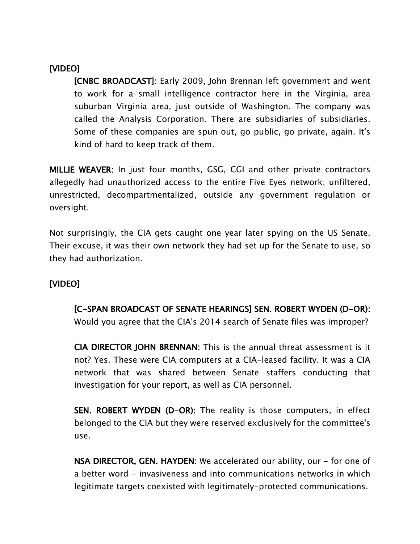### [VIDEO]

[CNBC BROADCAST]: Early 2009, John Brennan left government and went to work for a small intelligence contractor here in the Virginia, area suburban Virginia area, just outside of Washington. The company was called the Analysis Corporation. There are subsidiaries of subsidiaries. Some of these companies are spun out, go public, go private, again. It's kind of hard to keep track of them.

MILLIE WEAVER: In just four months, GSG, CGI and other private contractors allegedly had unauthorized access to the entire Five Eyes network; unfiltered, unrestricted, decompartmentalized, outside any government regulation or oversight.

Not surprisingly, the CIA gets caught one year later spying on the US Senate. Their excuse, it was their own network they had set up for the Senate to use, so they had authorization.

### [VIDEO]

[C-SPAN BROADCAST OF SENATE HEARINGS] SEN. ROBERT WYDEN (D-OR): Would you agree that the CIA's 2014 search of Senate files was improper?

CIA DIRECTOR JOHN BRENNAN: This is the annual threat assessment is it not? Yes. These were CIA computers at a CIA-leased facility. It was a CIA network that was shared between Senate staffers conducting that investigation for your report, as well as CIA personnel.

SEN. ROBERT WYDEN (D-OR): The reality is those computers, in effect belonged to the CIA but they were reserved exclusively for the committee's use.

NSA DIRECTOR, GEN. HAYDEN: We accelerated our ability, our - for one of a better word - invasiveness and into communications networks in which legitimate targets coexisted with legitimately-protected communications.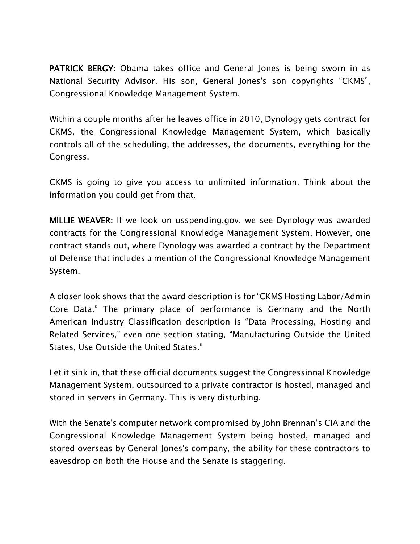PATRICK BERGY: Obama takes office and General Jones is being sworn in as National Security Advisor. His son, General Jones's son copyrights "CKMS", Congressional Knowledge Management System.

Within a couple months after he leaves office in 2010, Dynology gets contract for CKMS, the Congressional Knowledge Management System, which basically controls all of the scheduling, the addresses, the documents, everything for the Congress.

CKMS is going to give you access to unlimited information. Think about the information you could get from that.

MILLIE WEAVER: If we look on usspending.gov, we see Dynology was awarded contracts for the Congressional Knowledge Management System. However, one contract stands out, where Dynology was awarded a contract by the Department of Defense that includes a mention of the Congressional Knowledge Management System.

A closer look shows that the award description is for "CKMS Hosting Labor/Admin Core Data." The primary place of performance is Germany and the North American Industry Classification description is "Data Processing, Hosting and Related Services," even one section stating, "Manufacturing Outside the United States, Use Outside the United States."

Let it sink in, that these official documents suggest the Congressional Knowledge Management System, outsourced to a private contractor is hosted, managed and stored in servers in Germany. This is very disturbing.

With the Senate's computer network compromised by John Brennan's CIA and the Congressional Knowledge Management System being hosted, managed and stored overseas by General Jones's company, the ability for these contractors to eavesdrop on both the House and the Senate is staggering.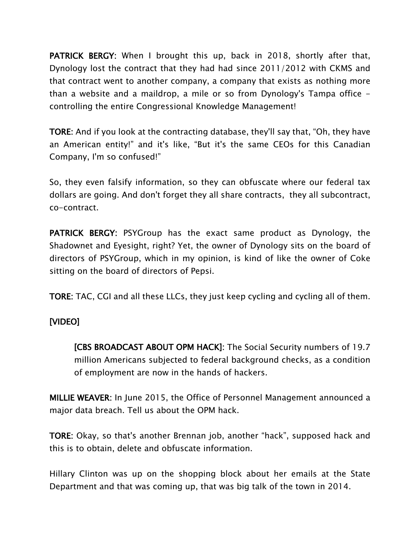**PATRICK BERGY:** When I brought this up, back in 2018, shortly after that, Dynology lost the contract that they had had since 2011/2012 with CKMS and that contract went to another company, a company that exists as nothing more than a website and a maildrop, a mile or so from Dynology's Tampa office controlling the entire Congressional Knowledge Management!

TORE: And if you look at the contracting database, they'll say that, "Oh, they have an American entity!" and it's like, "But it's the same CEOs for this Canadian Company, I'm so confused!"

So, they even falsify information, so they can obfuscate where our federal tax dollars are going. And don't forget they all share contracts, they all subcontract, co-contract.

PATRICK BERGY: PSYGroup has the exact same product as Dynology, the Shadownet and Eyesight, right? Yet, the owner of Dynology sits on the board of directors of PSYGroup, which in my opinion, is kind of like the owner of Coke sitting on the board of directors of Pepsi.

TORE: TAC, CGI and all these LLCs, they just keep cycling and cycling all of them.

#### [VIDEO]

[CBS BROADCAST ABOUT OPM HACK]: The Social Security numbers of 19.7 million Americans subjected to federal background checks, as a condition of employment are now in the hands of hackers.

MILLIE WEAVER: In June 2015, the Office of Personnel Management announced a major data breach. Tell us about the OPM hack.

TORE: Okay, so that's another Brennan job, another "hack", supposed hack and this is to obtain, delete and obfuscate information.

Hillary Clinton was up on the shopping block about her emails at the State Department and that was coming up, that was big talk of the town in 2014.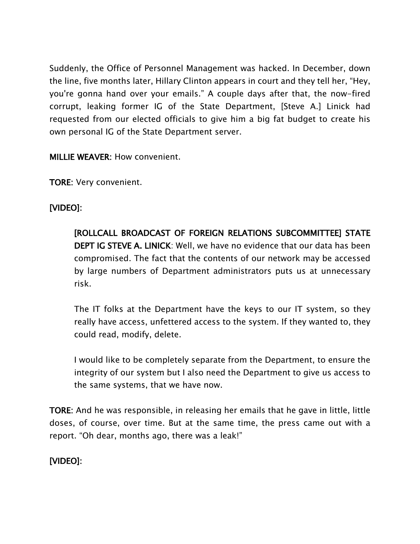Suddenly, the Office of Personnel Management was hacked. In December, down the line, five months later, Hillary Clinton appears in court and they tell her, "Hey, you're gonna hand over your emails." A couple days after that, the now-fired corrupt, leaking former IG of the State Department, [Steve A.] Linick had requested from our elected officials to give him a big fat budget to create his own personal IG of the State Department server.

MILLIE WEAVER: How convenient.

TORE: Very convenient.

# [VIDEO]:

[ROLLCALL BROADCAST OF FOREIGN RELATIONS SUBCOMMITTEE] STATE DEPT IG STEVE A. LINICK: Well, we have no evidence that our data has been compromised. The fact that the contents of our network may be accessed by large numbers of Department administrators puts us at unnecessary risk.

The IT folks at the Department have the keys to our IT system, so they really have access, unfettered access to the system. If they wanted to, they could read, modify, delete.

I would like to be completely separate from the Department, to ensure the integrity of our system but I also need the Department to give us access to the same systems, that we have now.

TORE: And he was responsible, in releasing her emails that he gave in little, little doses, of course, over time. But at the same time, the press came out with a report. "Oh dear, months ago, there was a leak!"

[VIDEO]: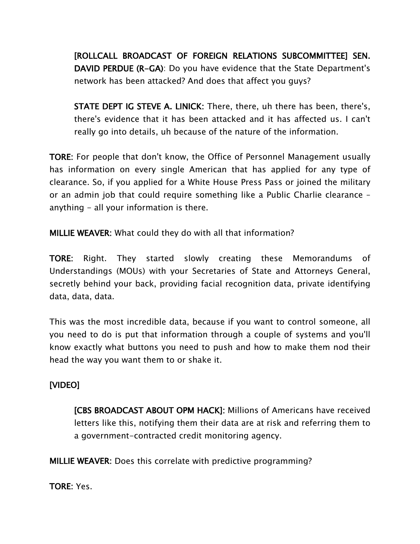[ROLLCALL BROADCAST OF FOREIGN RELATIONS SUBCOMMITTEE] SEN. DAVID PERDUE (R-GA): Do you have evidence that the State Department's network has been attacked? And does that affect you guys?

STATE DEPT IG STEVE A. LINICK: There, there, uh there has been, there's, there's evidence that it has been attacked and it has affected us. I can't really go into details, uh because of the nature of the information.

TORE: For people that don't know, the Office of Personnel Management usually has information on every single American that has applied for any type of clearance. So, if you applied for a White House Press Pass or joined the military or an admin job that could require something like a Public Charlie clearance – anything - all your information is there.

MILLIE WEAVER: What could they do with all that information?

TORE: Right. They started slowly creating these Memorandums of Understandings (MOUs) with your Secretaries of State and Attorneys General, secretly behind your back, providing facial recognition data, private identifying data, data, data.

This was the most incredible data, because if you want to control someone, all you need to do is put that information through a couple of systems and you'll know exactly what buttons you need to push and how to make them nod their head the way you want them to or shake it.

### [VIDEO]

[CBS BROADCAST ABOUT OPM HACK]: Millions of Americans have received letters like this, notifying them their data are at risk and referring them to a government-contracted credit monitoring agency.

MILLIE WEAVER: Does this correlate with predictive programming?

TORE: Yes.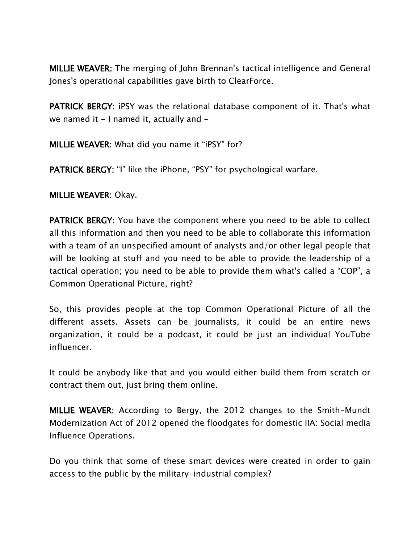MILLIE WEAVER: The merging of John Brennan's tactical intelligence and General Jones's operational capabilities gave birth to ClearForce.

PATRICK BERGY: iPSY was the relational database component of it. That's what we named it  $-1$  named it, actually and  $-$ 

MILLIE WEAVER: What did you name it "iPSY" for?

PATRICK BERGY: "I" like the iPhone, "PSY" for psychological warfare.

MILLIE WEAVER: Okay.

PATRICK BERGY: You have the component where you need to be able to collect all this information and then you need to be able to collaborate this information with a team of an unspecified amount of analysts and/or other legal people that will be looking at stuff and you need to be able to provide the leadership of a tactical operation; you need to be able to provide them what's called a "COP", a Common Operational Picture, right?

So, this provides people at the top Common Operational Picture of all the different assets. Assets can be journalists, it could be an entire news organization, it could be a podcast, it could be just an individual YouTube influencer.

It could be anybody like that and you would either build them from scratch or contract them out, just bring them online.

MILLIE WEAVER: According to Bergy, the 2012 changes to the Smith-Mundt Modernization Act of 2012 opened the floodgates for domestic IIA: Social media Influence Operations.

Do you think that some of these smart devices were created in order to gain access to the public by the military-industrial complex?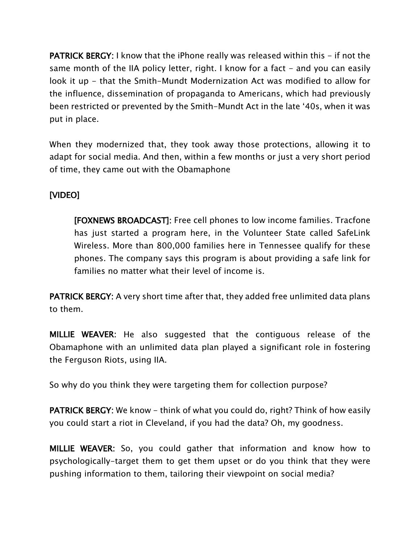**PATRICK BERGY:** I know that the iPhone really was released within this – if not the same month of the IIA policy letter, right. I know for a fact  $-$  and you can easily look it up - that the Smith-Mundt Modernization Act was modified to allow for the influence, dissemination of propaganda to Americans, which had previously been restricted or prevented by the Smith-Mundt Act in the late '40s, when it was put in place.

When they modernized that, they took away those protections, allowing it to adapt for social media. And then, within a few months or just a very short period of time, they came out with the Obamaphone

### [VIDEO]

[FOXNEWS BROADCAST]: Free cell phones to low income families. Tracfone has just started a program here, in the Volunteer State called SafeLink Wireless. More than 800,000 families here in Tennessee qualify for these phones. The company says this program is about providing a safe link for families no matter what their level of income is.

PATRICK BERGY: A very short time after that, they added free unlimited data plans to them.

MILLIE WEAVER: He also suggested that the contiguous release of the Obamaphone with an unlimited data plan played a significant role in fostering the Ferguson Riots, using IIA.

So why do you think they were targeting them for collection purpose?

**PATRICK BERGY:** We know – think of what you could do, right? Think of how easily you could start a riot in Cleveland, if you had the data? Oh, my goodness.

MILLIE WEAVER: So, you could gather that information and know how to psychologically-target them to get them upset or do you think that they were pushing information to them, tailoring their viewpoint on social media?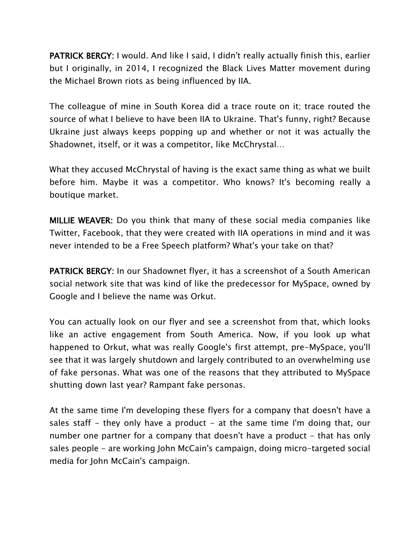PATRICK BERGY: I would. And like I said, I didn't really actually finish this, earlier but I originally, in 2014, I recognized the Black Lives Matter movement during the Michael Brown riots as being influenced by IIA.

The colleague of mine in South Korea did a trace route on it; trace routed the source of what I believe to have been IIA to Ukraine. That's funny, right? Because Ukraine just always keeps popping up and whether or not it was actually the Shadownet, itself, or it was a competitor, like McChrystal…

What they accused McChrystal of having is the exact same thing as what we built before him. Maybe it was a competitor. Who knows? It's becoming really a boutique market.

MILLIE WEAVER: Do you think that many of these social media companies like Twitter, Facebook, that they were created with IIA operations in mind and it was never intended to be a Free Speech platform? What's your take on that?

PATRICK BERGY: In our Shadownet flyer, it has a screenshot of a South American social network site that was kind of like the predecessor for MySpace, owned by Google and I believe the name was Orkut.

You can actually look on our flyer and see a screenshot from that, which looks like an active engagement from South America. Now, if you look up what happened to Orkut, what was really Google's first attempt, pre-MySpace, you'll see that it was largely shutdown and largely contributed to an overwhelming use of fake personas. What was one of the reasons that they attributed to MySpace shutting down last year? Rampant fake personas.

At the same time I'm developing these flyers for a company that doesn't have a sales staff - they only have a product - at the same time I'm doing that, our number one partner for a company that doesn't have a product – that has only sales people - are working John McCain's campaign, doing micro-targeted social media for John McCain's campaign.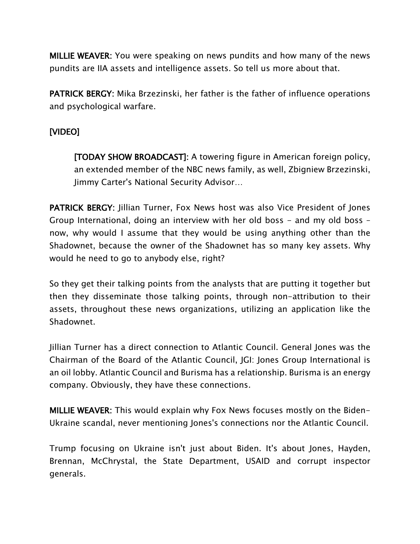MILLIE WEAVER: You were speaking on news pundits and how many of the news pundits are IIA assets and intelligence assets. So tell us more about that.

PATRICK BERGY: Mika Brzezinski, her father is the father of influence operations and psychological warfare.

## [VIDEO]

[TODAY SHOW BROADCAST]: A towering figure in American foreign policy, an extended member of the NBC news family, as well, Zbigniew Brzezinski, Jimmy Carter's National Security Advisor…

PATRICK BERGY: Jillian Turner, Fox News host was also Vice President of Jones Group International, doing an interview with her old boss - and my old boss – now, why would I assume that they would be using anything other than the Shadownet, because the owner of the Shadownet has so many key assets. Why would he need to go to anybody else, right?

So they get their talking points from the analysts that are putting it together but then they disseminate those talking points, through non-attribution to their assets, throughout these news organizations, utilizing an application like the Shadownet.

Jillian Turner has a direct connection to Atlantic Council. General Jones was the Chairman of the Board of the Atlantic Council, JGI: Jones Group International is an oil lobby. Atlantic Council and Burisma has a relationship. Burisma is an energy company. Obviously, they have these connections.

MILLIE WEAVER: This would explain why Fox News focuses mostly on the Biden-Ukraine scandal, never mentioning Jones's connections nor the Atlantic Council.

Trump focusing on Ukraine isn't just about Biden. It's about Jones, Hayden, Brennan, McChrystal, the State Department, USAID and corrupt inspector generals.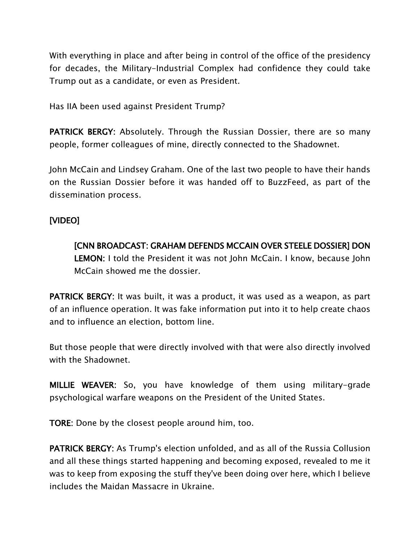With everything in place and after being in control of the office of the presidency for decades, the Military-Industrial Complex had confidence they could take Trump out as a candidate, or even as President.

Has IIA been used against President Trump?

PATRICK BERGY: Absolutely. Through the Russian Dossier, there are so many people, former colleagues of mine, directly connected to the Shadownet.

John McCain and Lindsey Graham. One of the last two people to have their hands on the Russian Dossier before it was handed off to BuzzFeed, as part of the dissemination process.

#### [VIDEO]

[CNN BROADCAST: GRAHAM DEFENDS MCCAIN OVER STEELE DOSSIER] DON LEMON: I told the President it was not John McCain. I know, because John McCain showed me the dossier.

PATRICK BERGY: It was built, it was a product, it was used as a weapon, as part of an influence operation. It was fake information put into it to help create chaos and to influence an election, bottom line.

But those people that were directly involved with that were also directly involved with the Shadownet.

MILLIE WEAVER: So, you have knowledge of them using military-grade psychological warfare weapons on the President of the United States.

TORE: Done by the closest people around him, too.

PATRICK BERGY: As Trump's election unfolded, and as all of the Russia Collusion and all these things started happening and becoming exposed, revealed to me it was to keep from exposing the stuff they've been doing over here, which I believe includes the Maidan Massacre in Ukraine.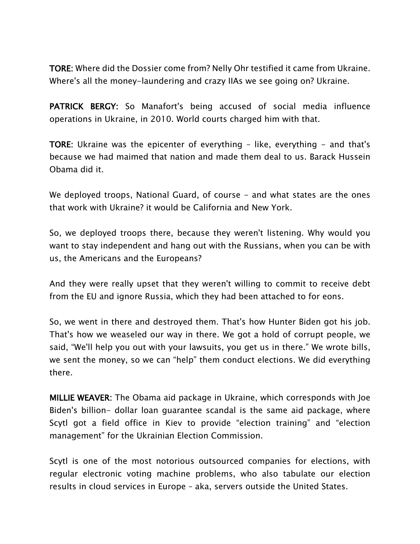TORE: Where did the Dossier come from? Nelly Ohr testified it came from Ukraine. Where's all the money-laundering and crazy IIAs we see going on? Ukraine.

PATRICK BERGY: So Manafort's being accused of social media influence operations in Ukraine, in 2010. World courts charged him with that.

TORE: Ukraine was the epicenter of everything - like, everything - and that's because we had maimed that nation and made them deal to us. Barack Hussein Obama did it.

We deployed troops, National Guard, of course - and what states are the ones that work with Ukraine? it would be California and New York.

So, we deployed troops there, because they weren't listening. Why would you want to stay independent and hang out with the Russians, when you can be with us, the Americans and the Europeans?

And they were really upset that they weren't willing to commit to receive debt from the EU and ignore Russia, which they had been attached to for eons.

So, we went in there and destroyed them. That's how Hunter Biden got his job. That's how we weaseled our way in there. We got a hold of corrupt people, we said, "We'll help you out with your lawsuits, you get us in there." We wrote bills, we sent the money, so we can "help" them conduct elections. We did everything there.

MILLIE WEAVER: The Obama aid package in Ukraine, which corresponds with Joe Biden's billion- dollar loan guarantee scandal is the same aid package, where Scytl got a field office in Kiev to provide "election training" and "election management" for the Ukrainian Election Commission.

Scytl is one of the most notorious outsourced companies for elections, with regular electronic voting machine problems, who also tabulate our election results in cloud services in Europe – aka, servers outside the United States.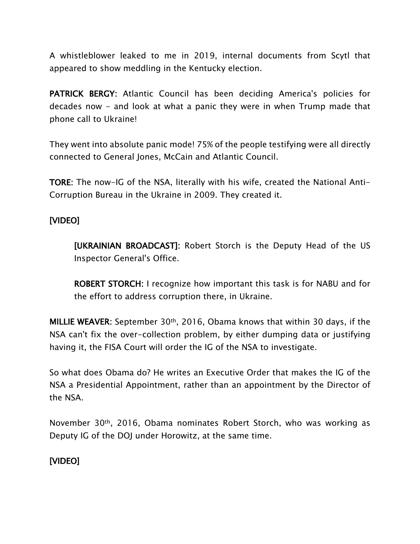A whistleblower leaked to me in 2019, internal documents from Scytl that appeared to show meddling in the Kentucky election.

PATRICK BERGY: Atlantic Council has been deciding America's policies for decades now - and look at what a panic they were in when Trump made that phone call to Ukraine!

They went into absolute panic mode! 75% of the people testifying were all directly connected to General Jones, McCain and Atlantic Council.

TORE: The now-IG of the NSA, literally with his wife, created the National Anti-Corruption Bureau in the Ukraine in 2009. They created it.

### [VIDEO]

[UKRAINIAN BROADCAST]: Robert Storch is the Deputy Head of the US Inspector General's Office.

ROBERT STORCH: I recognize how important this task is for NABU and for the effort to address corruption there, in Ukraine.

MILLIE WEAVER: September 30th, 2016, Obama knows that within 30 days, if the NSA can't fix the over-collection problem, by either dumping data or justifying having it, the FISA Court will order the IG of the NSA to investigate.

So what does Obama do? He writes an Executive Order that makes the IG of the NSA a Presidential Appointment, rather than an appointment by the Director of the NSA.

November 30th, 2016, Obama nominates Robert Storch, who was working as Deputy IG of the DOJ under Horowitz, at the same time.

### [VIDEO]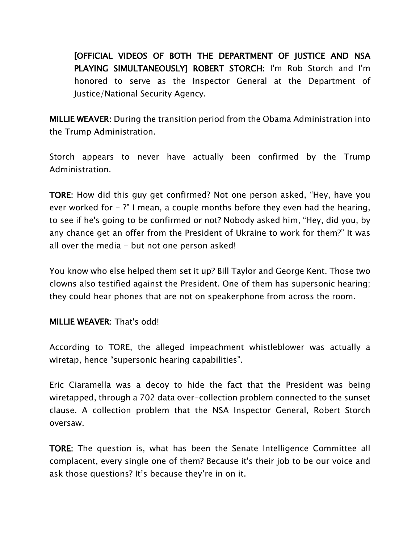[OFFICIAL VIDEOS OF BOTH THE DEPARTMENT OF JUSTICE AND NSA PLAYING SIMULTANEOUSLY] ROBERT STORCH: I'm Rob Storch and I'm honored to serve as the Inspector General at the Department of Justice/National Security Agency.

MILLIE WEAVER: During the transition period from the Obama Administration into the Trump Administration.

Storch appears to never have actually been confirmed by the Trump Administration.

TORE: How did this guy get confirmed? Not one person asked, "Hey, have you ever worked for  $-$  ?" I mean, a couple months before they even had the hearing, to see if he's going to be confirmed or not? Nobody asked him, "Hey, did you, by any chance get an offer from the President of Ukraine to work for them?" It was all over the media - but not one person asked!

You know who else helped them set it up? Bill Taylor and George Kent. Those two clowns also testified against the President. One of them has supersonic hearing; they could hear phones that are not on speakerphone from across the room.

#### MILLIE WEAVER: That's odd!

According to TORE, the alleged impeachment whistleblower was actually a wiretap, hence "supersonic hearing capabilities".

Eric Ciaramella was a decoy to hide the fact that the President was being wiretapped, through a 702 data over-collection problem connected to the sunset clause. A collection problem that the NSA Inspector General, Robert Storch oversaw.

TORE: The question is, what has been the Senate Intelligence Committee all complacent, every single one of them? Because it's their job to be our voice and ask those questions? It's because they're in on it.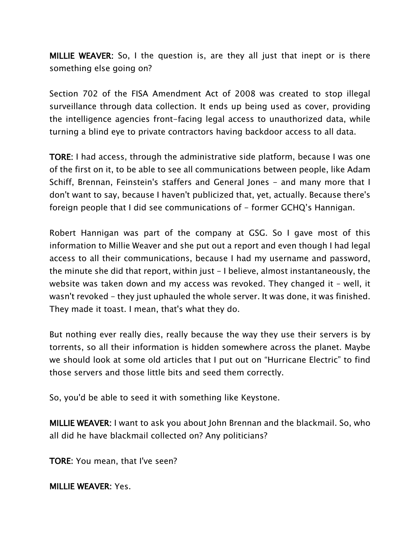MILLIE WEAVER: So, I the question is, are they all just that inept or is there something else going on?

Section 702 of the FISA Amendment Act of 2008 was created to stop illegal surveillance through data collection. It ends up being used as cover, providing the intelligence agencies front-facing legal access to unauthorized data, while turning a blind eye to private contractors having backdoor access to all data.

TORE: I had access, through the administrative side platform, because I was one of the first on it, to be able to see all communications between people, like Adam Schiff, Brennan, Feinstein's staffers and General Jones - and many more that I don't want to say, because I haven't publicized that, yet, actually. Because there's foreign people that I did see communications of  $-$  former GCHQ's Hannigan.

Robert Hannigan was part of the company at GSG. So I gave most of this information to Millie Weaver and she put out a report and even though I had legal access to all their communications, because I had my username and password, the minute she did that report, within just - I believe, almost instantaneously, the website was taken down and my access was revoked. They changed it – well, it wasn't revoked - they just uphauled the whole server. It was done, it was finished. They made it toast. I mean, that's what they do.

But nothing ever really dies, really because the way they use their servers is by torrents, so all their information is hidden somewhere across the planet. Maybe we should look at some old articles that I put out on "Hurricane Electric" to find those servers and those little bits and seed them correctly.

So, you'd be able to seed it with something like Keystone.

MILLIE WEAVER: I want to ask you about John Brennan and the blackmail. So, who all did he have blackmail collected on? Any politicians?

TORE: You mean, that I've seen?

MILLIE WEAVER: Yes.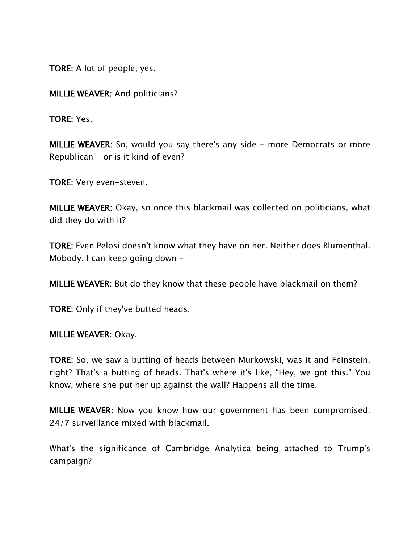TORE: A lot of people, yes.

MILLIE WEAVER: And politicians?

TORE: Yes.

MILLIE WEAVER: So, would you say there's any side - more Democrats or more Republican - or is it kind of even?

TORE: Very even-steven.

MILLIE WEAVER: Okay, so once this blackmail was collected on politicians, what did they do with it?

TORE: Even Pelosi doesn't know what they have on her. Neither does Blumenthal. Mobody. I can keep going down –

MILLIE WEAVER: But do they know that these people have blackmail on them?

TORE: Only if they've butted heads.

MILLIE WEAVER: Okay.

TORE: So, we saw a butting of heads between Murkowski, was it and Feinstein, right? That's a butting of heads. That's where it's like, "Hey, we got this." You know, where she put her up against the wall? Happens all the time.

MILLIE WEAVER: Now you know how our government has been compromised: 24/7 surveillance mixed with blackmail.

What's the significance of Cambridge Analytica being attached to Trump's campaign?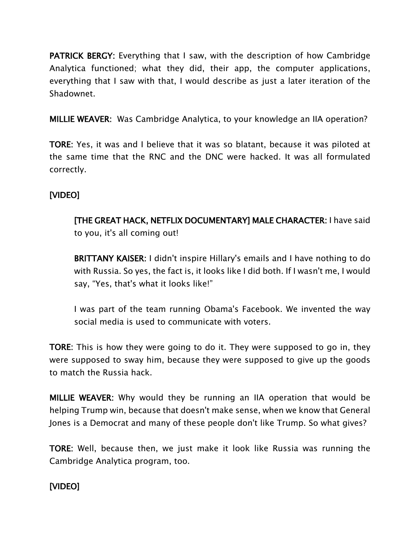PATRICK BERGY: Everything that I saw, with the description of how Cambridge Analytica functioned; what they did, their app, the computer applications, everything that I saw with that, I would describe as just a later iteration of the Shadownet.

MILLIE WEAVER: Was Cambridge Analytica, to your knowledge an IIA operation?

TORE: Yes, it was and I believe that it was so blatant, because it was piloted at the same time that the RNC and the DNC were hacked. It was all formulated correctly.

# [VIDEO]

# [THE GREAT HACK, NETFLIX DOCUMENTARY] MALE CHARACTER: I have said to you, it's all coming out!

BRITTANY KAISER: I didn't inspire Hillary's emails and I have nothing to do with Russia. So yes, the fact is, it looks like I did both. If I wasn't me, I would say, "Yes, that's what it looks like!"

I was part of the team running Obama's Facebook. We invented the way social media is used to communicate with voters.

TORE: This is how they were going to do it. They were supposed to go in, they were supposed to sway him, because they were supposed to give up the goods to match the Russia hack.

MILLIE WEAVER: Why would they be running an IIA operation that would be helping Trump win, because that doesn't make sense, when we know that General Jones is a Democrat and many of these people don't like Trump. So what gives?

TORE: Well, because then, we just make it look like Russia was running the Cambridge Analytica program, too.

# [VIDEO]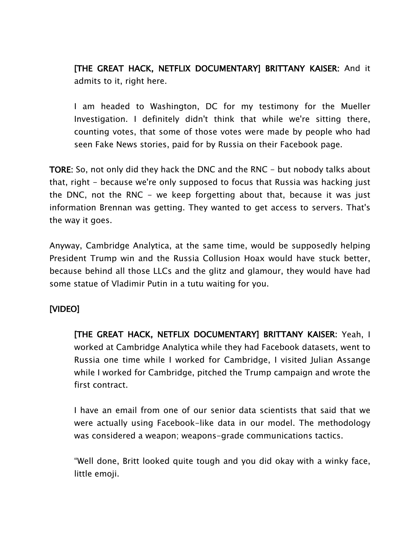[THE GREAT HACK, NETFLIX DOCUMENTARY] BRITTANY KAISER: And it admits to it, right here.

I am headed to Washington, DC for my testimony for the Mueller Investigation. I definitely didn't think that while we're sitting there, counting votes, that some of those votes were made by people who had seen Fake News stories, paid for by Russia on their Facebook page.

TORE: So, not only did they hack the DNC and the RNC - but nobody talks about that, right - because we're only supposed to focus that Russia was hacking just the DNC, not the RNC - we keep forgetting about that, because it was just information Brennan was getting. They wanted to get access to servers. That's the way it goes.

Anyway, Cambridge Analytica, at the same time, would be supposedly helping President Trump win and the Russia Collusion Hoax would have stuck better, because behind all those LLCs and the glitz and glamour, they would have had some statue of Vladimir Putin in a tutu waiting for you.

### [VIDEO]

[THE GREAT HACK, NETFLIX DOCUMENTARY] BRITTANY KAISER: Yeah, I worked at Cambridge Analytica while they had Facebook datasets, went to Russia one time while I worked for Cambridge, I visited Julian Assange while I worked for Cambridge, pitched the Trump campaign and wrote the first contract.

I have an email from one of our senior data scientists that said that we were actually using Facebook-like data in our model. The methodology was considered a weapon; weapons-grade communications tactics.

"Well done, Britt looked quite tough and you did okay with a winky face, little emoji.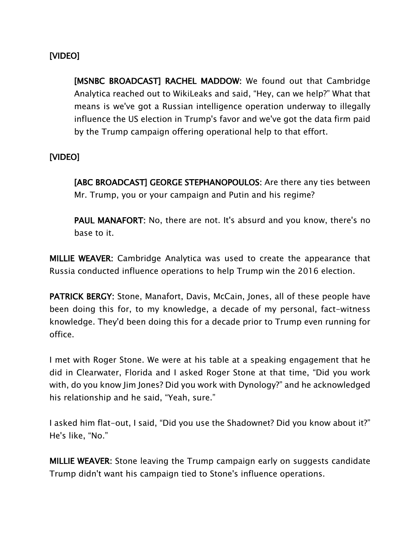### [VIDEO]

[MSNBC BROADCAST] RACHEL MADDOW: We found out that Cambridge Analytica reached out to WikiLeaks and said, "Hey, can we help?" What that means is we've got a Russian intelligence operation underway to illegally influence the US election in Trump's favor and we've got the data firm paid by the Trump campaign offering operational help to that effort.

#### [VIDEO]

[ABC BROADCAST] GEORGE STEPHANOPOULOS: Are there any ties between Mr. Trump, you or your campaign and Putin and his regime?

PAUL MANAFORT: No, there are not. It's absurd and you know, there's no base to it.

MILLIE WEAVER: Cambridge Analytica was used to create the appearance that Russia conducted influence operations to help Trump win the 2016 election.

PATRICK BERGY: Stone, Manafort, Davis, McCain, Jones, all of these people have been doing this for, to my knowledge, a decade of my personal, fact-witness knowledge. They'd been doing this for a decade prior to Trump even running for office.

I met with Roger Stone. We were at his table at a speaking engagement that he did in Clearwater, Florida and I asked Roger Stone at that time, "Did you work with, do you know Jim Jones? Did you work with Dynology?" and he acknowledged his relationship and he said, "Yeah, sure."

I asked him flat-out, I said, "Did you use the Shadownet? Did you know about it?" He's like, "No."

MILLIE WEAVER: Stone leaving the Trump campaign early on suggests candidate Trump didn't want his campaign tied to Stone's influence operations.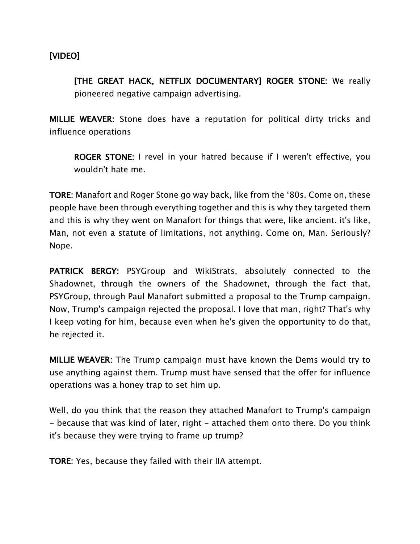[VIDEO]

[THE GREAT HACK, NETFLIX DOCUMENTARY] ROGER STONE: We really pioneered negative campaign advertising.

MILLIE WEAVER: Stone does have a reputation for political dirty tricks and influence operations

ROGER STONE: I revel in your hatred because if I weren't effective, you wouldn't hate me.

TORE: Manafort and Roger Stone go way back, like from the '80s. Come on, these people have been through everything together and this is why they targeted them and this is why they went on Manafort for things that were, like ancient. it's like, Man, not even a statute of limitations, not anything. Come on, Man. Seriously? Nope.

PATRICK BERGY: PSYGroup and WikiStrats, absolutely connected to the Shadownet, through the owners of the Shadownet, through the fact that, PSYGroup, through Paul Manafort submitted a proposal to the Trump campaign. Now, Trump's campaign rejected the proposal. I love that man, right? That's why I keep voting for him, because even when he's given the opportunity to do that, he rejected it.

MILLIE WEAVER: The Trump campaign must have known the Dems would try to use anything against them. Trump must have sensed that the offer for influence operations was a honey trap to set him up.

Well, do you think that the reason they attached Manafort to Trump's campaign - because that was kind of later, right - attached them onto there. Do you think it's because they were trying to frame up trump?

TORE: Yes, because they failed with their IIA attempt.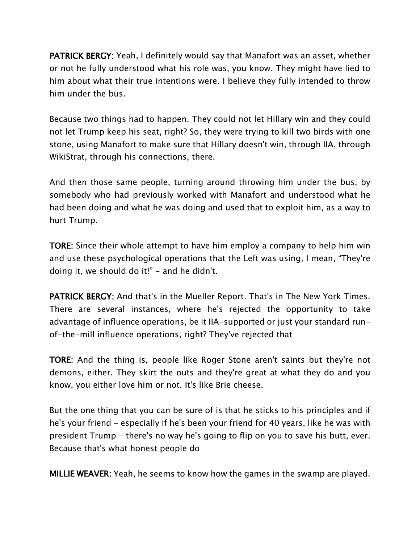PATRICK BERGY: Yeah, I definitely would say that Manafort was an asset, whether or not he fully understood what his role was, you know. They might have lied to him about what their true intentions were. I believe they fully intended to throw him under the bus.

Because two things had to happen. They could not let Hillary win and they could not let Trump keep his seat, right? So, they were trying to kill two birds with one stone, using Manafort to make sure that Hillary doesn't win, through IIA, through WikiStrat, through his connections, there.

And then those same people, turning around throwing him under the bus, by somebody who had previously worked with Manafort and understood what he had been doing and what he was doing and used that to exploit him, as a way to hurt Trump.

TORE: Since their whole attempt to have him employ a company to help him win and use these psychological operations that the Left was using, I mean, "They're doing it, we should do it!" - and he didn't.

PATRICK BERGY: And that's in the Mueller Report. That's in The New York Times. There are several instances, where he's rejected the opportunity to take advantage of influence operations, be it IIA-supported or just your standard runof-the-mill influence operations, right? They've rejected that

TORE: And the thing is, people like Roger Stone aren't saints but they're not demons, either. They skirt the outs and they're great at what they do and you know, you either love him or not. It's like Brie cheese.

But the one thing that you can be sure of is that he sticks to his principles and if he's your friend - especially if he's been your friend for 40 years, like he was with president Trump - there's no way he's going to flip on you to save his butt, ever. Because that's what honest people do

MILLIE WEAVER: Yeah, he seems to know how the games in the swamp are played.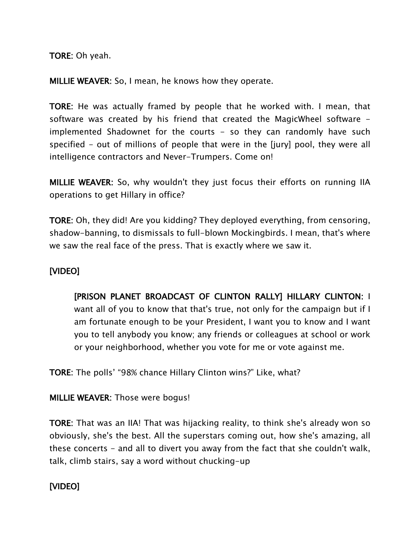TORE: Oh yeah.

MILLIE WEAVER: So, I mean, he knows how they operate.

TORE: He was actually framed by people that he worked with. I mean, that software was created by his friend that created the MagicWheel software implemented Shadownet for the courts  $-$  so they can randomly have such specified - out of millions of people that were in the [jury] pool, they were all intelligence contractors and Never-Trumpers. Come on!

MILLIE WEAVER: So, why wouldn't they just focus their efforts on running IIA operations to get Hillary in office?

TORE: Oh, they did! Are you kidding? They deployed everything, from censoring, shadow-banning, to dismissals to full-blown Mockingbirds. I mean, that's where we saw the real face of the press. That is exactly where we saw it.

#### [VIDEO]

[PRISON PLANET BROADCAST OF CLINTON RALLY] HILLARY CLINTON: I want all of you to know that that's true, not only for the campaign but if I am fortunate enough to be your President, I want you to know and I want you to tell anybody you know; any friends or colleagues at school or work or your neighborhood, whether you vote for me or vote against me.

TORE: The polls' "98% chance Hillary Clinton wins?" Like, what?

MILLIE WEAVER: Those were bogus!

TORE: That was an IIA! That was hijacking reality, to think she's already won so obviously, she's the best. All the superstars coming out, how she's amazing, all these concerts - and all to divert you away from the fact that she couldn't walk, talk, climb stairs, say a word without chucking-up

### [VIDEO]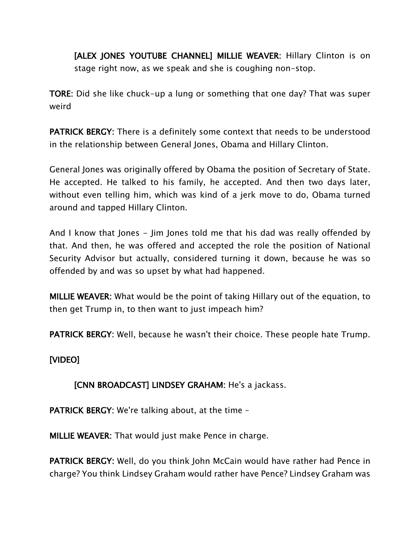[ALEX JONES YOUTUBE CHANNEL] MILLIE WEAVER: Hillary Clinton is on stage right now, as we speak and she is coughing non-stop.

TORE: Did she like chuck-up a lung or something that one day? That was super weird

PATRICK BERGY: There is a definitely some context that needs to be understood in the relationship between General Jones, Obama and Hillary Clinton.

General Jones was originally offered by Obama the position of Secretary of State. He accepted. He talked to his family, he accepted. And then two days later, without even telling him, which was kind of a jerk move to do, Obama turned around and tapped Hillary Clinton.

And I know that Jones - Jim Jones told me that his dad was really offended by that. And then, he was offered and accepted the role the position of National Security Advisor but actually, considered turning it down, because he was so offended by and was so upset by what had happened.

MILLIE WEAVER: What would be the point of taking Hillary out of the equation, to then get Trump in, to then want to just impeach him?

PATRICK BERGY: Well, because he wasn't their choice. These people hate Trump.

[VIDEO]

#### [CNN BROADCAST] LINDSEY GRAHAM: He's a jackass.

PATRICK BERGY: We're talking about, at the time –

MILLIE WEAVER: That would just make Pence in charge.

PATRICK BERGY: Well, do you think John McCain would have rather had Pence in charge? You think Lindsey Graham would rather have Pence? Lindsey Graham was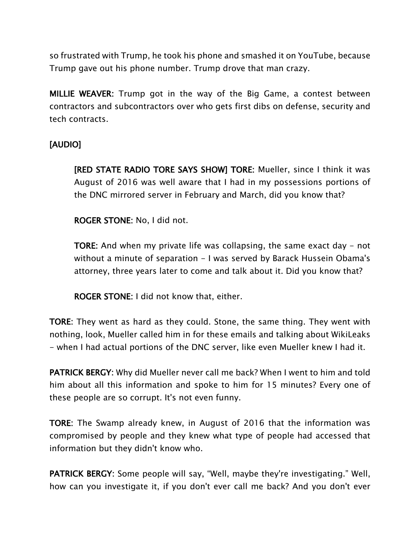so frustrated with Trump, he took his phone and smashed it on YouTube, because Trump gave out his phone number. Trump drove that man crazy.

MILLIE WEAVER: Trump got in the way of the Big Game, a contest between contractors and subcontractors over who gets first dibs on defense, security and tech contracts.

## [AUDIO]

[RED STATE RADIO TORE SAYS SHOW] TORE: Mueller, since I think it was August of 2016 was well aware that I had in my possessions portions of the DNC mirrored server in February and March, did you know that?

ROGER STONE: No, I did not.

TORE: And when my private life was collapsing, the same exact day - not without a minute of separation - I was served by Barack Hussein Obama's attorney, three years later to come and talk about it. Did you know that?

ROGER STONE: I did not know that, either.

TORE: They went as hard as they could. Stone, the same thing. They went with nothing, look, Mueller called him in for these emails and talking about WikiLeaks - when I had actual portions of the DNC server, like even Mueller knew I had it.

PATRICK BERGY: Why did Mueller never call me back? When I went to him and told him about all this information and spoke to him for 15 minutes? Every one of these people are so corrupt. It's not even funny.

TORE: The Swamp already knew, in August of 2016 that the information was compromised by people and they knew what type of people had accessed that information but they didn't know who.

PATRICK BERGY: Some people will say, "Well, maybe they're investigating." Well, how can you investigate it, if you don't ever call me back? And you don't ever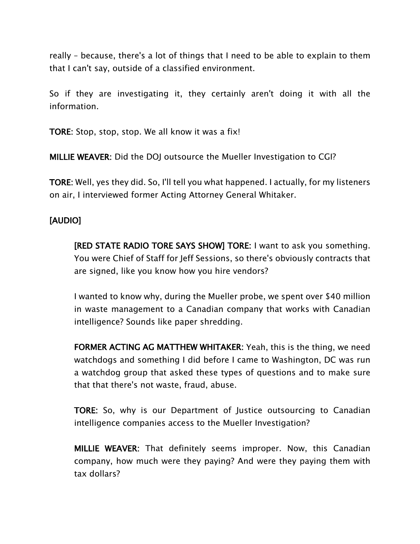really – because, there's a lot of things that I need to be able to explain to them that I can't say, outside of a classified environment.

So if they are investigating it, they certainly aren't doing it with all the information.

TORE: Stop, stop, stop. We all know it was a fix!

MILLIE WEAVER: Did the DOJ outsource the Mueller Investigation to CGI?

TORE: Well, yes they did. So, I'll tell you what happened. I actually, for my listeners on air, I interviewed former Acting Attorney General Whitaker.

#### [AUDIO]

[RED STATE RADIO TORE SAYS SHOW] TORE: I want to ask you something. You were Chief of Staff for Jeff Sessions, so there's obviously contracts that are signed, like you know how you hire vendors?

I wanted to know why, during the Mueller probe, we spent over \$40 million in waste management to a Canadian company that works with Canadian intelligence? Sounds like paper shredding.

FORMER ACTING AG MATTHEW WHITAKER: Yeah, this is the thing, we need watchdogs and something I did before I came to Washington, DC was run a watchdog group that asked these types of questions and to make sure that that there's not waste, fraud, abuse.

TORE: So, why is our Department of Justice outsourcing to Canadian intelligence companies access to the Mueller Investigation?

MILLIE WEAVER: That definitely seems improper. Now, this Canadian company, how much were they paying? And were they paying them with tax dollars?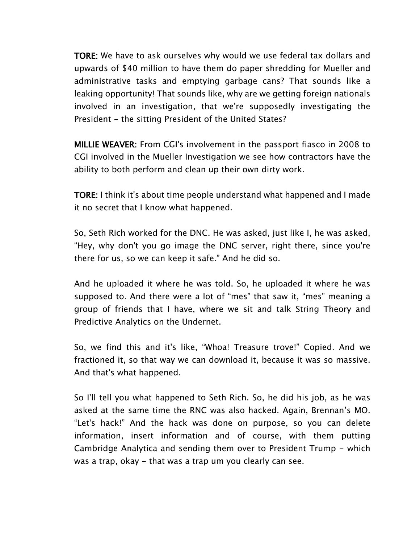TORE: We have to ask ourselves why would we use federal tax dollars and upwards of \$40 million to have them do paper shredding for Mueller and administrative tasks and emptying garbage cans? That sounds like a leaking opportunity! That sounds like, why are we getting foreign nationals involved in an investigation, that we're supposedly investigating the President - the sitting President of the United States?

MILLIE WEAVER: From CGI's involvement in the passport fiasco in 2008 to CGI involved in the Mueller Investigation we see how contractors have the ability to both perform and clean up their own dirty work.

TORE: I think it's about time people understand what happened and I made it no secret that I know what happened.

So, Seth Rich worked for the DNC. He was asked, just like I, he was asked, "Hey, why don't you go image the DNC server, right there, since you're there for us, so we can keep it safe." And he did so.

And he uploaded it where he was told. So, he uploaded it where he was supposed to. And there were a lot of "mes" that saw it, "mes" meaning a group of friends that I have, where we sit and talk String Theory and Predictive Analytics on the Undernet.

So, we find this and it's like, "Whoa! Treasure trove!" Copied. And we fractioned it, so that way we can download it, because it was so massive. And that's what happened.

So I'll tell you what happened to Seth Rich. So, he did his job, as he was asked at the same time the RNC was also hacked. Again, Brennan's MO. "Let's hack!" And the hack was done on purpose, so you can delete information, insert information and of course, with them putting Cambridge Analytica and sending them over to President Trump - which was a trap, okay - that was a trap um you clearly can see.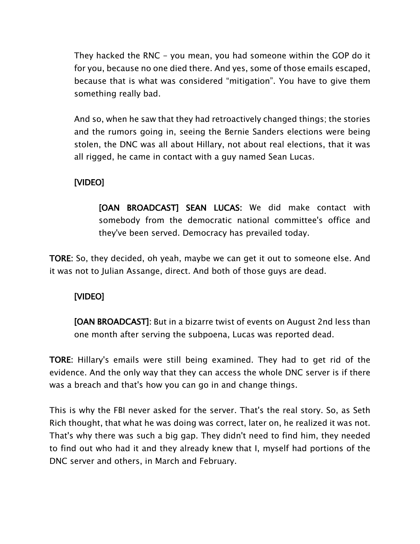They hacked the RNC - you mean, you had someone within the GOP do it for you, because no one died there. And yes, some of those emails escaped, because that is what was considered "mitigation". You have to give them something really bad.

And so, when he saw that they had retroactively changed things; the stories and the rumors going in, seeing the Bernie Sanders elections were being stolen, the DNC was all about Hillary, not about real elections, that it was all rigged, he came in contact with a guy named Sean Lucas.

### [VIDEO]

[OAN BROADCAST] SEAN LUCAS: We did make contact with somebody from the democratic national committee's office and they've been served. Democracy has prevailed today.

TORE: So, they decided, oh yeah, maybe we can get it out to someone else. And it was not to Julian Assange, direct. And both of those guys are dead.

### [VIDEO]

[OAN BROADCAST]: But in a bizarre twist of events on August 2nd less than one month after serving the subpoena, Lucas was reported dead.

TORE: Hillary's emails were still being examined. They had to get rid of the evidence. And the only way that they can access the whole DNC server is if there was a breach and that's how you can go in and change things.

This is why the FBI never asked for the server. That's the real story. So, as Seth Rich thought, that what he was doing was correct, later on, he realized it was not. That's why there was such a big gap. They didn't need to find him, they needed to find out who had it and they already knew that I, myself had portions of the DNC server and others, in March and February.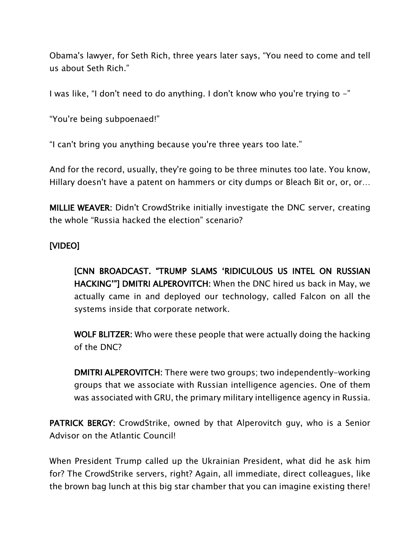Obama's lawyer, for Seth Rich, three years later says, "You need to come and tell us about Seth Rich."

I was like, "I don't need to do anything. I don't know who you're trying to -"

"You're being subpoenaed!"

"I can't bring you anything because you're three years too late."

And for the record, usually, they're going to be three minutes too late. You know, Hillary doesn't have a patent on hammers or city dumps or Bleach Bit or, or, or…

MILLIE WEAVER: Didn't CrowdStrike initially investigate the DNC server, creating the whole "Russia hacked the election" scenario?

### [VIDEO]

[CNN BROADCAST. "TRUMP SLAMS 'RIDICULOUS US INTEL ON RUSSIAN HACKING'"] DMITRI ALPEROVITCH: When the DNC hired us back in May, we actually came in and deployed our technology, called Falcon on all the systems inside that corporate network.

WOLF BLITZER: Who were these people that were actually doing the hacking of the DNC?

DMITRI ALPEROVITCH: There were two groups; two independently-working groups that we associate with Russian intelligence agencies. One of them was associated with GRU, the primary military intelligence agency in Russia.

PATRICK BERGY: CrowdStrike, owned by that Alperovitch guy, who is a Senior Advisor on the Atlantic Council!

When President Trump called up the Ukrainian President, what did he ask him for? The CrowdStrike servers, right? Again, all immediate, direct colleagues, like the brown bag lunch at this big star chamber that you can imagine existing there!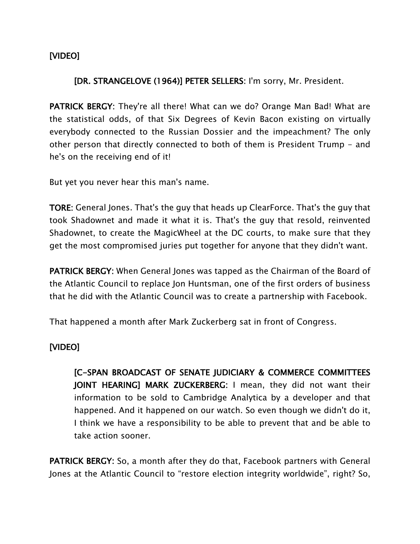### [VIDEO]

#### [DR. STRANGELOVE (1964)] PETER SELLERS: I'm sorry, Mr. President.

PATRICK BERGY: They're all there! What can we do? Orange Man Bad! What are the statistical odds, of that Six Degrees of Kevin Bacon existing on virtually everybody connected to the Russian Dossier and the impeachment? The only other person that directly connected to both of them is President Trump - and he's on the receiving end of it!

But yet you never hear this man's name.

TORE: General Jones. That's the guy that heads up ClearForce. That's the guy that took Shadownet and made it what it is. That's the guy that resold, reinvented Shadownet, to create the MagicWheel at the DC courts, to make sure that they get the most compromised juries put together for anyone that they didn't want.

PATRICK BERGY: When General Jones was tapped as the Chairman of the Board of the Atlantic Council to replace Jon Huntsman, one of the first orders of business that he did with the Atlantic Council was to create a partnership with Facebook.

That happened a month after Mark Zuckerberg sat in front of Congress.

### [VIDEO]

[C-SPAN BROADCAST OF SENATE JUDICIARY & COMMERCE COMMITTEES JOINT HEARING] MARK ZUCKERBERG: I mean, they did not want their information to be sold to Cambridge Analytica by a developer and that happened. And it happened on our watch. So even though we didn't do it, I think we have a responsibility to be able to prevent that and be able to take action sooner.

PATRICK BERGY: So, a month after they do that, Facebook partners with General Jones at the Atlantic Council to "restore election integrity worldwide", right? So,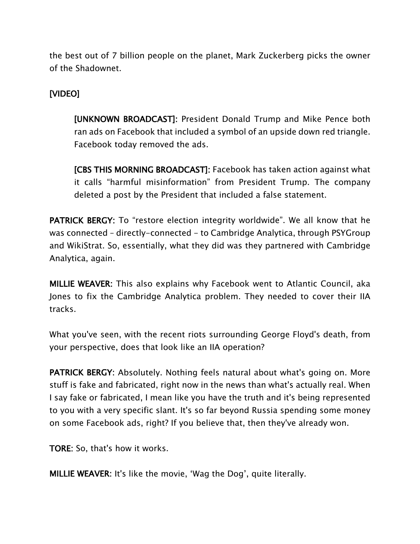the best out of 7 billion people on the planet, Mark Zuckerberg picks the owner of the Shadownet.

### [VIDEO]

[UNKNOWN BROADCAST]: President Donald Trump and Mike Pence both ran ads on Facebook that included a symbol of an upside down red triangle. Facebook today removed the ads.

[CBS THIS MORNING BROADCAST]: Facebook has taken action against what it calls "harmful misinformation" from President Trump. The company deleted a post by the President that included a false statement.

PATRICK BERGY: To "restore election integrity worldwide". We all know that he was connected – directly-connected - to Cambridge Analytica, through PSYGroup and WikiStrat. So, essentially, what they did was they partnered with Cambridge Analytica, again.

MILLIE WEAVER: This also explains why Facebook went to Atlantic Council, aka Jones to fix the Cambridge Analytica problem. They needed to cover their IIA tracks.

What you've seen, with the recent riots surrounding George Floyd's death, from your perspective, does that look like an IIA operation?

PATRICK BERGY: Absolutely. Nothing feels natural about what's going on. More stuff is fake and fabricated, right now in the news than what's actually real. When I say fake or fabricated, I mean like you have the truth and it's being represented to you with a very specific slant. It's so far beyond Russia spending some money on some Facebook ads, right? If you believe that, then they've already won.

TORE: So, that's how it works.

MILLIE WEAVER: It's like the movie, 'Wag the Dog', quite literally.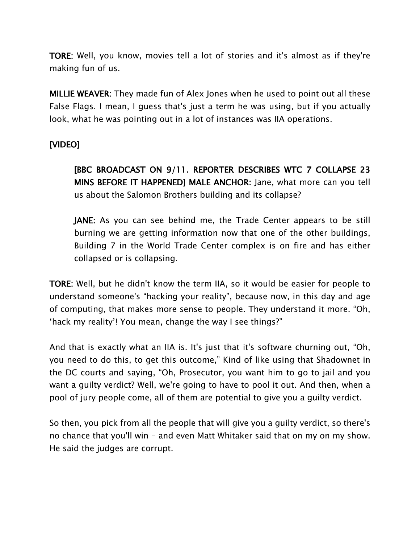TORE: Well, you know, movies tell a lot of stories and it's almost as if they're making fun of us.

MILLIE WEAVER: They made fun of Alex Jones when he used to point out all these False Flags. I mean, I guess that's just a term he was using, but if you actually look, what he was pointing out in a lot of instances was IIA operations.

## [VIDEO]

[BBC BROADCAST ON 9/11. REPORTER DESCRIBES WTC 7 COLLAPSE 23 MINS BEFORE IT HAPPENED] MALE ANCHOR: Jane, what more can you tell us about the Salomon Brothers building and its collapse?

JANE: As you can see behind me, the Trade Center appears to be still burning we are getting information now that one of the other buildings, Building 7 in the World Trade Center complex is on fire and has either collapsed or is collapsing.

TORE: Well, but he didn't know the term IIA, so it would be easier for people to understand someone's "hacking your reality", because now, in this day and age of computing, that makes more sense to people. They understand it more. "Oh, 'hack my reality'! You mean, change the way I see things?"

And that is exactly what an IIA is. It's just that it's software churning out, "Oh, you need to do this, to get this outcome," Kind of like using that Shadownet in the DC courts and saying, "Oh, Prosecutor, you want him to go to jail and you want a guilty verdict? Well, we're going to have to pool it out. And then, when a pool of jury people come, all of them are potential to give you a guilty verdict.

So then, you pick from all the people that will give you a guilty verdict, so there's no chance that you'll win - and even Matt Whitaker said that on my on my show. He said the judges are corrupt.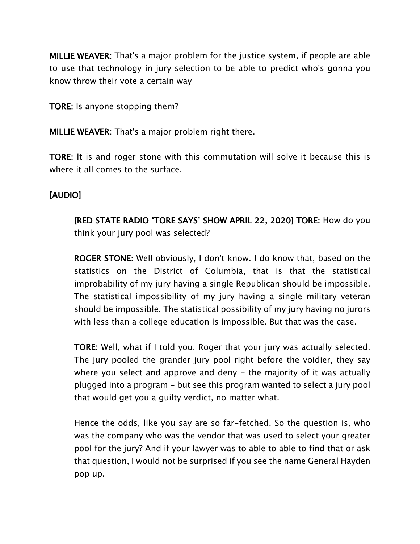MILLIE WEAVER: That's a major problem for the justice system, if people are able to use that technology in jury selection to be able to predict who's gonna you know throw their vote a certain way

TORE: Is anyone stopping them?

MILLIE WEAVER: That's a major problem right there.

TORE: It is and roger stone with this commutation will solve it because this is where it all comes to the surface.

#### [AUDIO]

[RED STATE RADIO 'TORE SAYS' SHOW APRIL 22, 2020] TORE: How do you think your jury pool was selected?

ROGER STONE: Well obviously, I don't know. I do know that, based on the statistics on the District of Columbia, that is that the statistical improbability of my jury having a single Republican should be impossible. The statistical impossibility of my jury having a single military veteran should be impossible. The statistical possibility of my jury having no jurors with less than a college education is impossible. But that was the case.

TORE: Well, what if I told you, Roger that your jury was actually selected. The jury pooled the grander jury pool right before the voidier, they say where you select and approve and deny  $-$  the majority of it was actually plugged into a program - but see this program wanted to select a jury pool that would get you a guilty verdict, no matter what.

Hence the odds, like you say are so far-fetched. So the question is, who was the company who was the vendor that was used to select your greater pool for the jury? And if your lawyer was to able to able to find that or ask that question, I would not be surprised if you see the name General Hayden pop up.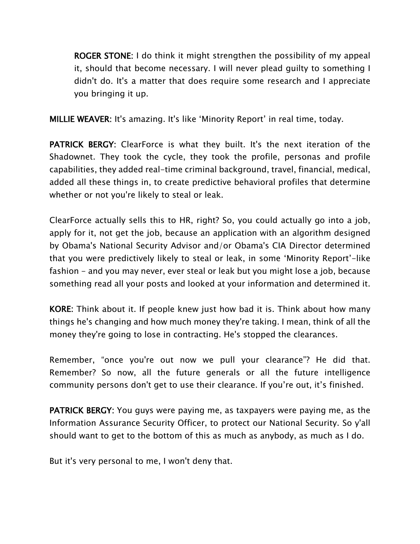ROGER STONE: I do think it might strengthen the possibility of my appeal it, should that become necessary. I will never plead guilty to something I didn't do. It's a matter that does require some research and I appreciate you bringing it up.

MILLIE WEAVER: It's amazing. It's like 'Minority Report' in real time, today.

PATRICK BERGY: ClearForce is what they built. It's the next iteration of the Shadownet. They took the cycle, they took the profile, personas and profile capabilities, they added real-time criminal background, travel, financial, medical, added all these things in, to create predictive behavioral profiles that determine whether or not you're likely to steal or leak.

ClearForce actually sells this to HR, right? So, you could actually go into a job, apply for it, not get the job, because an application with an algorithm designed by Obama's National Security Advisor and/or Obama's CIA Director determined that you were predictively likely to steal or leak, in some 'Minority Report'-like fashion – and you may never, ever steal or leak but you might lose a job, because something read all your posts and looked at your information and determined it.

KORE: Think about it. If people knew just how bad it is. Think about how many things he's changing and how much money they're taking. I mean, think of all the money they're going to lose in contracting. He's stopped the clearances.

Remember, "once you're out now we pull your clearance"? He did that. Remember? So now, all the future generals or all the future intelligence community persons don't get to use their clearance. If you're out, it's finished.

PATRICK BERGY: You guys were paying me, as taxpayers were paying me, as the Information Assurance Security Officer, to protect our National Security. So y'all should want to get to the bottom of this as much as anybody, as much as I do.

But it's very personal to me, I won't deny that.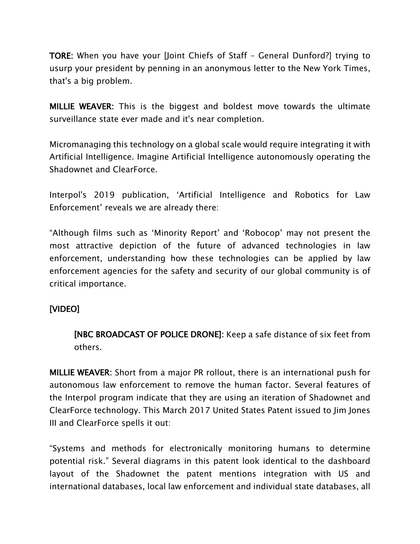TORE: When you have your [Joint Chiefs of Staff – General Dunford?] trying to usurp your president by penning in an anonymous letter to the New York Times, that's a big problem.

MILLIE WEAVER: This is the biggest and boldest move towards the ultimate surveillance state ever made and it's near completion.

Micromanaging this technology on a global scale would require integrating it with Artificial Intelligence. Imagine Artificial Intelligence autonomously operating the Shadownet and ClearForce.

Interpol's 2019 publication, 'Artificial Intelligence and Robotics for Law Enforcement' reveals we are already there:

"Although films such as 'Minority Report' and 'Robocop' may not present the most attractive depiction of the future of advanced technologies in law enforcement, understanding how these technologies can be applied by law enforcement agencies for the safety and security of our global community is of critical importance.

### [VIDEO]

[NBC BROADCAST OF POLICE DRONE]: Keep a safe distance of six feet from others.

MILLIE WEAVER: Short from a major PR rollout, there is an international push for autonomous law enforcement to remove the human factor. Several features of the Interpol program indicate that they are using an iteration of Shadownet and ClearForce technology. This March 2017 United States Patent issued to Jim Jones III and ClearForce spells it out:

"Systems and methods for electronically monitoring humans to determine potential risk." Several diagrams in this patent look identical to the dashboard layout of the Shadownet the patent mentions integration with US and international databases, local law enforcement and individual state databases, all